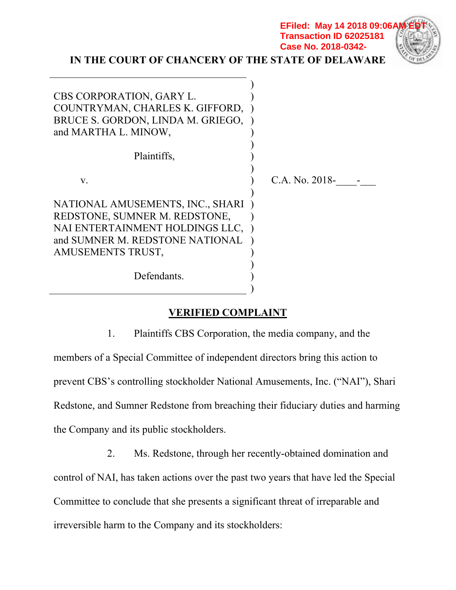| IN THE COURT OF CHANCERY OF THE STATE OF DELAWARE                                                                                                            | <b>Transaction ID 62025181</b><br>Case No. 2018-0342- |
|--------------------------------------------------------------------------------------------------------------------------------------------------------------|-------------------------------------------------------|
| <b>CBS CORPORATION, GARY L.</b><br>COUNTRYMAN, CHARLES K. GIFFORD,<br>BRUCE S. GORDON, LINDA M. GRIEGO,<br>and MARTHA L. MINOW,                              |                                                       |
| Plaintiffs,                                                                                                                                                  |                                                       |
| $V_{\bullet}$                                                                                                                                                | C.A. No. 2018-                                        |
| NATIONAL AMUSEMENTS, INC., SHARI<br>REDSTONE, SUMNER M. REDSTONE,<br>NAI ENTERTAINMENT HOLDINGS LLC,<br>and SUMNER M. REDSTONE NATIONAL<br>AMUSEMENTS TRUST, |                                                       |
| Defendants.                                                                                                                                                  |                                                       |

**EFiled: May 14 2018 09:06AM** 

# **VERIFIED COMPLAINT**

1. Plaintiffs CBS Corporation, the media company, and the members of a Special Committee of independent directors bring this action to prevent CBS's controlling stockholder National Amusements, Inc. ("NAI"), Shari Redstone, and Sumner Redstone from breaching their fiduciary duties and harming the Company and its public stockholders.

2. Ms. Redstone, through her recently-obtained domination and control of NAI, has taken actions over the past two years that have led the Special Committee to conclude that she presents a significant threat of irreparable and irreversible harm to the Company and its stockholders: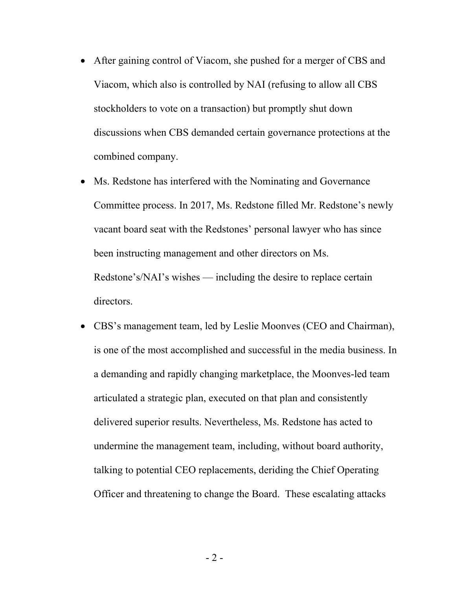- After gaining control of Viacom, she pushed for a merger of CBS and Viacom, which also is controlled by NAI (refusing to allow all CBS stockholders to vote on a transaction) but promptly shut down discussions when CBS demanded certain governance protections at the combined company.
- Ms. Redstone has interfered with the Nominating and Governance Committee process. In 2017, Ms. Redstone filled Mr. Redstone's newly vacant board seat with the Redstones' personal lawyer who has since been instructing management and other directors on Ms. Redstone's/NAI's wishes — including the desire to replace certain directors.
- CBS's management team, led by Leslie Moonves (CEO and Chairman), is one of the most accomplished and successful in the media business. In a demanding and rapidly changing marketplace, the Moonves-led team articulated a strategic plan, executed on that plan and consistently delivered superior results. Nevertheless, Ms. Redstone has acted to undermine the management team, including, without board authority, talking to potential CEO replacements, deriding the Chief Operating Officer and threatening to change the Board. These escalating attacks

 $-2$  -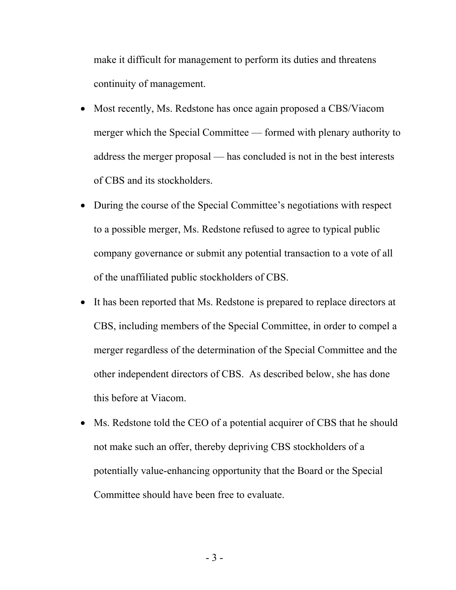make it difficult for management to perform its duties and threatens continuity of management.

- Most recently, Ms. Redstone has once again proposed a CBS/Viacom merger which the Special Committee — formed with plenary authority to address the merger proposal — has concluded is not in the best interests of CBS and its stockholders.
- During the course of the Special Committee's negotiations with respect to a possible merger, Ms. Redstone refused to agree to typical public company governance or submit any potential transaction to a vote of all of the unaffiliated public stockholders of CBS.
- It has been reported that Ms. Redstone is prepared to replace directors at CBS, including members of the Special Committee, in order to compel a merger regardless of the determination of the Special Committee and the other independent directors of CBS. As described below, she has done this before at Viacom.
- Ms. Redstone told the CEO of a potential acquirer of CBS that he should not make such an offer, thereby depriving CBS stockholders of a potentially value-enhancing opportunity that the Board or the Special Committee should have been free to evaluate.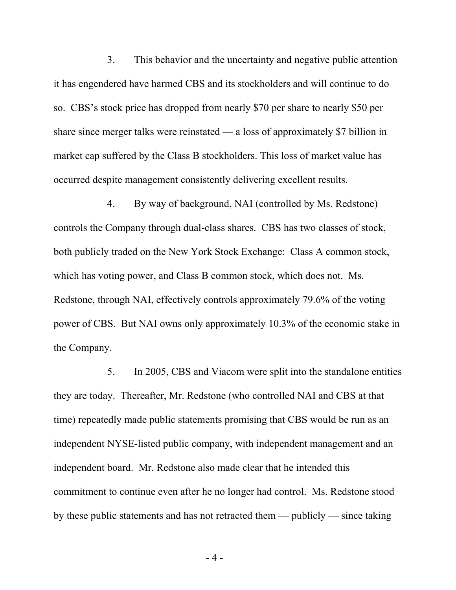3. This behavior and the uncertainty and negative public attention it has engendered have harmed CBS and its stockholders and will continue to do so. CBS's stock price has dropped from nearly \$70 per share to nearly \$50 per share since merger talks were reinstated — a loss of approximately \$7 billion in market cap suffered by the Class B stockholders. This loss of market value has occurred despite management consistently delivering excellent results.

4. By way of background, NAI (controlled by Ms. Redstone) controls the Company through dual-class shares. CBS has two classes of stock, both publicly traded on the New York Stock Exchange: Class A common stock, which has voting power, and Class B common stock, which does not. Ms. Redstone, through NAI, effectively controls approximately 79.6% of the voting power of CBS. But NAI owns only approximately 10.3% of the economic stake in the Company.

5. In 2005, CBS and Viacom were split into the standalone entities they are today. Thereafter, Mr. Redstone (who controlled NAI and CBS at that time) repeatedly made public statements promising that CBS would be run as an independent NYSE-listed public company, with independent management and an independent board. Mr. Redstone also made clear that he intended this commitment to continue even after he no longer had control. Ms. Redstone stood by these public statements and has not retracted them — publicly — since taking

 $-4-$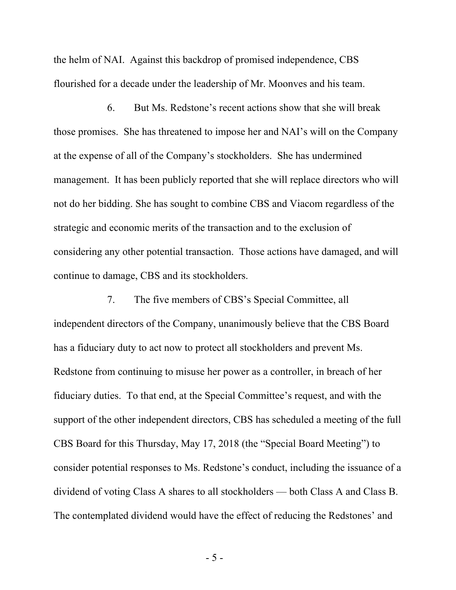the helm of NAI. Against this backdrop of promised independence, CBS flourished for a decade under the leadership of Mr. Moonves and his team.

6. But Ms. Redstone's recent actions show that she will break those promises. She has threatened to impose her and NAI's will on the Company at the expense of all of the Company's stockholders. She has undermined management. It has been publicly reported that she will replace directors who will not do her bidding. She has sought to combine CBS and Viacom regardless of the strategic and economic merits of the transaction and to the exclusion of considering any other potential transaction. Those actions have damaged, and will continue to damage, CBS and its stockholders.

7. The five members of CBS's Special Committee, all independent directors of the Company, unanimously believe that the CBS Board has a fiduciary duty to act now to protect all stockholders and prevent Ms. Redstone from continuing to misuse her power as a controller, in breach of her fiduciary duties. To that end, at the Special Committee's request, and with the support of the other independent directors, CBS has scheduled a meeting of the full CBS Board for this Thursday, May 17, 2018 (the "Special Board Meeting") to consider potential responses to Ms. Redstone's conduct, including the issuance of a dividend of voting Class A shares to all stockholders — both Class A and Class B. The contemplated dividend would have the effect of reducing the Redstones' and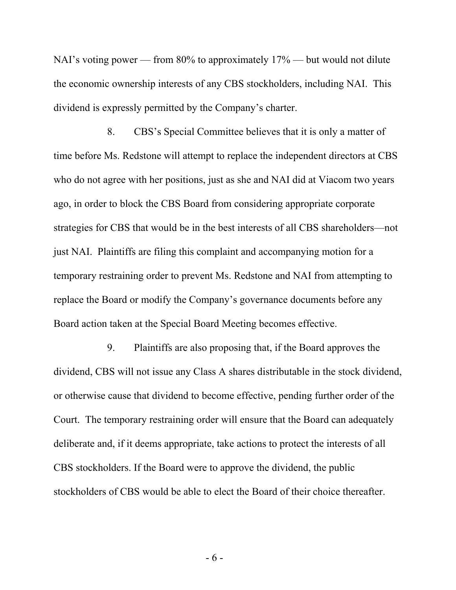NAI's voting power — from 80% to approximately 17% — but would not dilute the economic ownership interests of any CBS stockholders, including NAI. This dividend is expressly permitted by the Company's charter.

8. CBS's Special Committee believes that it is only a matter of time before Ms. Redstone will attempt to replace the independent directors at CBS who do not agree with her positions, just as she and NAI did at Viacom two years ago, in order to block the CBS Board from considering appropriate corporate strategies for CBS that would be in the best interests of all CBS shareholders—not just NAI. Plaintiffs are filing this complaint and accompanying motion for a temporary restraining order to prevent Ms. Redstone and NAI from attempting to replace the Board or modify the Company's governance documents before any Board action taken at the Special Board Meeting becomes effective.

9. Plaintiffs are also proposing that, if the Board approves the dividend, CBS will not issue any Class A shares distributable in the stock dividend, or otherwise cause that dividend to become effective, pending further order of the Court. The temporary restraining order will ensure that the Board can adequately deliberate and, if it deems appropriate, take actions to protect the interests of all CBS stockholders. If the Board were to approve the dividend, the public stockholders of CBS would be able to elect the Board of their choice thereafter.

- 6 -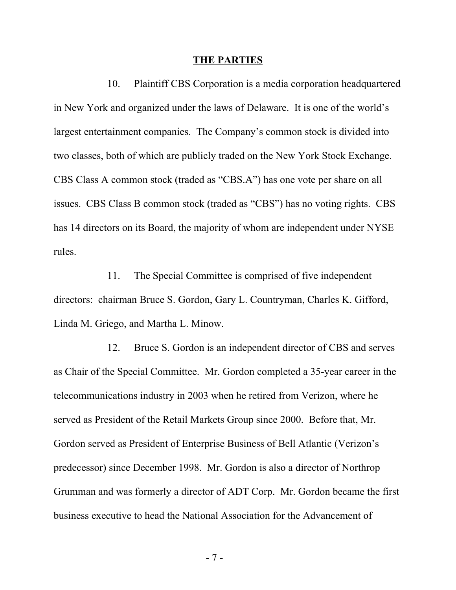#### **THE PARTIES**

10. Plaintiff CBS Corporation is a media corporation headquartered in New York and organized under the laws of Delaware. It is one of the world's largest entertainment companies. The Company's common stock is divided into two classes, both of which are publicly traded on the New York Stock Exchange. CBS Class A common stock (traded as "CBS.A") has one vote per share on all issues. CBS Class B common stock (traded as "CBS") has no voting rights. CBS has 14 directors on its Board, the majority of whom are independent under NYSE rules.

11. The Special Committee is comprised of five independent directors: chairman Bruce S. Gordon, Gary L. Countryman, Charles K. Gifford, Linda M. Griego, and Martha L. Minow.

12. Bruce S. Gordon is an independent director of CBS and serves as Chair of the Special Committee. Mr. Gordon completed a 35-year career in the telecommunications industry in 2003 when he retired from Verizon, where he served as President of the Retail Markets Group since 2000. Before that, Mr. Gordon served as President of Enterprise Business of Bell Atlantic (Verizon's predecessor) since December 1998. Mr. Gordon is also a director of Northrop Grumman and was formerly a director of ADT Corp. Mr. Gordon became the first business executive to head the National Association for the Advancement of

- 7 -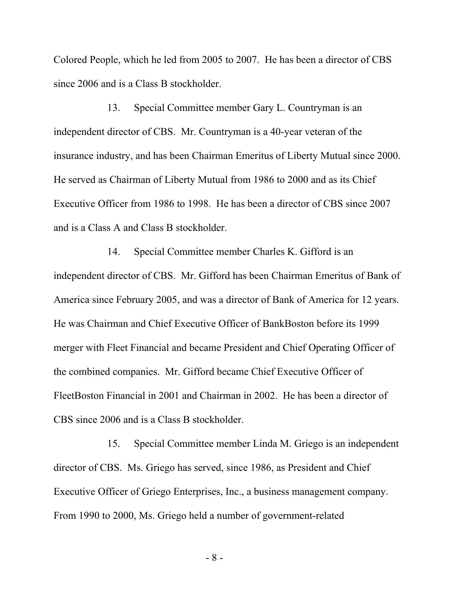Colored People, which he led from 2005 to 2007. He has been a director of CBS since 2006 and is a Class B stockholder.

13. Special Committee member Gary L. Countryman is an independent director of CBS. Mr. Countryman is a 40-year veteran of the insurance industry, and has been Chairman Emeritus of Liberty Mutual since 2000. He served as Chairman of Liberty Mutual from 1986 to 2000 and as its Chief Executive Officer from 1986 to 1998. He has been a director of CBS since 2007 and is a Class A and Class B stockholder.

14. Special Committee member Charles K. Gifford is an independent director of CBS. Mr. Gifford has been Chairman Emeritus of Bank of America since February 2005, and was a director of Bank of America for 12 years. He was Chairman and Chief Executive Officer of BankBoston before its 1999 merger with Fleet Financial and became President and Chief Operating Officer of the combined companies. Mr. Gifford became Chief Executive Officer of FleetBoston Financial in 2001 and Chairman in 2002. He has been a director of CBS since 2006 and is a Class B stockholder.

15. Special Committee member Linda M. Griego is an independent director of CBS. Ms. Griego has served, since 1986, as President and Chief Executive Officer of Griego Enterprises, Inc., a business management company. From 1990 to 2000, Ms. Griego held a number of government-related

- 8 -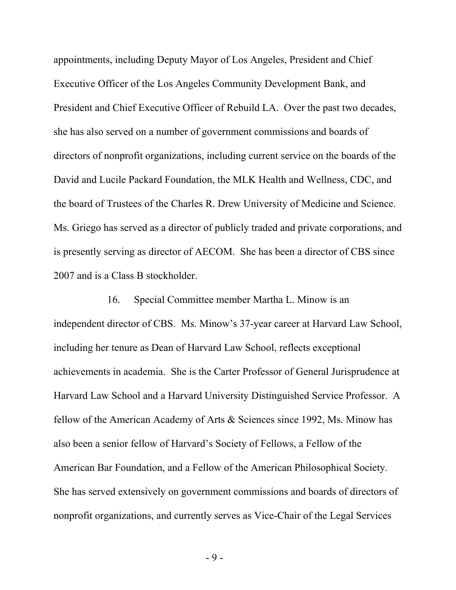appointments, including Deputy Mayor of Los Angeles, President and Chief Executive Officer of the Los Angeles Community Development Bank, and President and Chief Executive Officer of Rebuild LA. Over the past two decades, she has also served on a number of government commissions and boards of directors of nonprofit organizations, including current service on the boards of the David and Lucile Packard Foundation, the MLK Health and Wellness, CDC, and the board of Trustees of the Charles R. Drew University of Medicine and Science. Ms. Griego has served as a director of publicly traded and private corporations, and is presently serving as director of AECOM. She has been a director of CBS since 2007 and is a Class B stockholder.

16. Special Committee member Martha L. Minow is an independent director of CBS. Ms. Minow's 37-year career at Harvard Law School, including her tenure as Dean of Harvard Law School, reflects exceptional achievements in academia. She is the Carter Professor of General Jurisprudence at Harvard Law School and a Harvard University Distinguished Service Professor. A fellow of the American Academy of Arts & Sciences since 1992, Ms. Minow has also been a senior fellow of Harvard's Society of Fellows, a Fellow of the American Bar Foundation, and a Fellow of the American Philosophical Society. She has served extensively on government commissions and boards of directors of nonprofit organizations, and currently serves as Vice-Chair of the Legal Services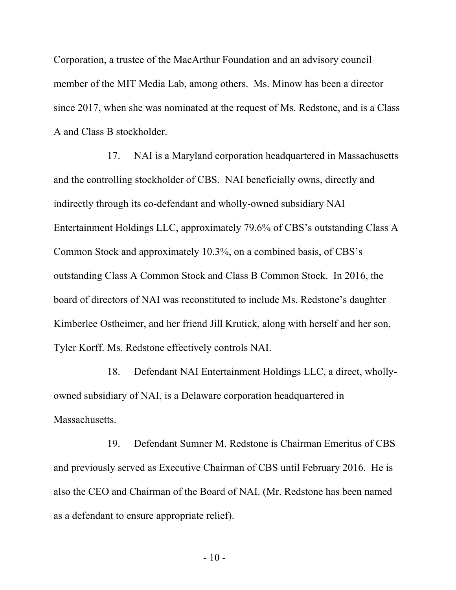Corporation, a trustee of the MacArthur Foundation and an advisory council member of the MIT Media Lab, among others. Ms. Minow has been a director since 2017, when she was nominated at the request of Ms. Redstone, and is a Class A and Class B stockholder.

17. NAI is a Maryland corporation headquartered in Massachusetts and the controlling stockholder of CBS. NAI beneficially owns, directly and indirectly through its co-defendant and wholly-owned subsidiary NAI Entertainment Holdings LLC, approximately 79.6% of CBS's outstanding Class A Common Stock and approximately 10.3%, on a combined basis, of CBS's outstanding Class A Common Stock and Class B Common Stock. In 2016, the board of directors of NAI was reconstituted to include Ms. Redstone's daughter Kimberlee Ostheimer, and her friend Jill Krutick, along with herself and her son, Tyler Korff. Ms. Redstone effectively controls NAI.

18. Defendant NAI Entertainment Holdings LLC, a direct, whollyowned subsidiary of NAI, is a Delaware corporation headquartered in Massachusetts.

19. Defendant Sumner M. Redstone is Chairman Emeritus of CBS and previously served as Executive Chairman of CBS until February 2016. He is also the CEO and Chairman of the Board of NAI. (Mr. Redstone has been named as a defendant to ensure appropriate relief).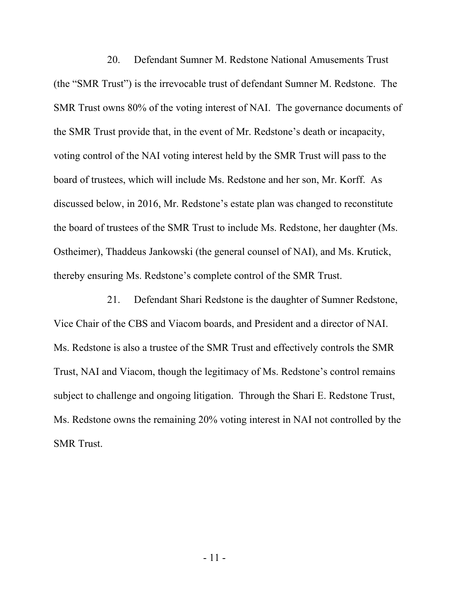20. Defendant Sumner M. Redstone National Amusements Trust (the "SMR Trust") is the irrevocable trust of defendant Sumner M. Redstone. The SMR Trust owns 80% of the voting interest of NAI. The governance documents of the SMR Trust provide that, in the event of Mr. Redstone's death or incapacity, voting control of the NAI voting interest held by the SMR Trust will pass to the board of trustees, which will include Ms. Redstone and her son, Mr. Korff. As discussed below, in 2016, Mr. Redstone's estate plan was changed to reconstitute the board of trustees of the SMR Trust to include Ms. Redstone, her daughter (Ms. Ostheimer), Thaddeus Jankowski (the general counsel of NAI), and Ms. Krutick, thereby ensuring Ms. Redstone's complete control of the SMR Trust.

21. Defendant Shari Redstone is the daughter of Sumner Redstone, Vice Chair of the CBS and Viacom boards, and President and a director of NAI. Ms. Redstone is also a trustee of the SMR Trust and effectively controls the SMR Trust, NAI and Viacom, though the legitimacy of Ms. Redstone's control remains subject to challenge and ongoing litigation. Through the Shari E. Redstone Trust, Ms. Redstone owns the remaining 20% voting interest in NAI not controlled by the SMR Trust.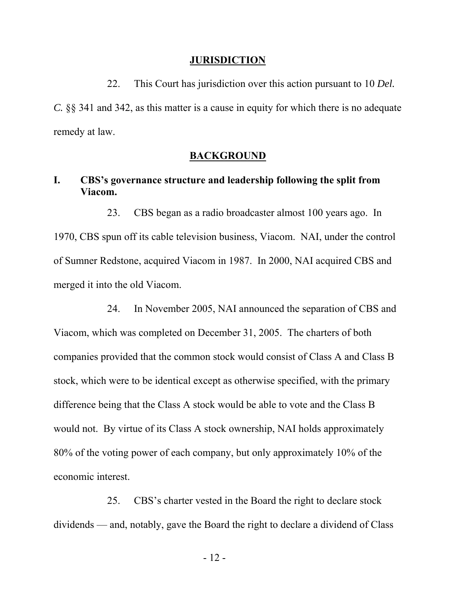#### **JURISDICTION**

22. This Court has jurisdiction over this action pursuant to 10 *Del. C.* §§ 341 and 342, as this matter is a cause in equity for which there is no adequate remedy at law.

#### **BACKGROUND**

# **I. CBS's governance structure and leadership following the split from Viacom.**

23. CBS began as a radio broadcaster almost 100 years ago. In 1970, CBS spun off its cable television business, Viacom. NAI, under the control of Sumner Redstone, acquired Viacom in 1987. In 2000, NAI acquired CBS and merged it into the old Viacom.

24. In November 2005, NAI announced the separation of CBS and Viacom, which was completed on December 31, 2005. The charters of both companies provided that the common stock would consist of Class A and Class B stock, which were to be identical except as otherwise specified, with the primary difference being that the Class A stock would be able to vote and the Class B would not. By virtue of its Class A stock ownership, NAI holds approximately 80% of the voting power of each company, but only approximately 10% of the economic interest.

25. CBS's charter vested in the Board the right to declare stock dividends — and, notably, gave the Board the right to declare a dividend of Class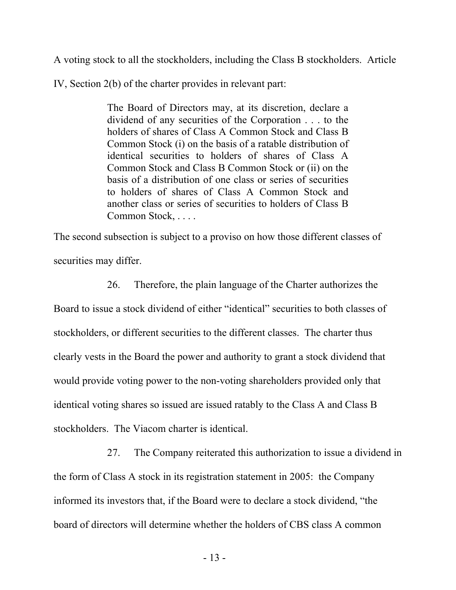A voting stock to all the stockholders, including the Class B stockholders. Article

IV, Section 2(b) of the charter provides in relevant part:

The Board of Directors may, at its discretion, declare a dividend of any securities of the Corporation . . . to the holders of shares of Class A Common Stock and Class B Common Stock (i) on the basis of a ratable distribution of identical securities to holders of shares of Class A Common Stock and Class B Common Stock or (ii) on the basis of a distribution of one class or series of securities to holders of shares of Class A Common Stock and another class or series of securities to holders of Class B Common Stock, . . . .

The second subsection is subject to a proviso on how those different classes of securities may differ.

26. Therefore, the plain language of the Charter authorizes the Board to issue a stock dividend of either "identical" securities to both classes of stockholders, or different securities to the different classes. The charter thus clearly vests in the Board the power and authority to grant a stock dividend that would provide voting power to the non-voting shareholders provided only that identical voting shares so issued are issued ratably to the Class A and Class B stockholders. The Viacom charter is identical.

27. The Company reiterated this authorization to issue a dividend in the form of Class A stock in its registration statement in 2005: the Company informed its investors that, if the Board were to declare a stock dividend, "the board of directors will determine whether the holders of CBS class A common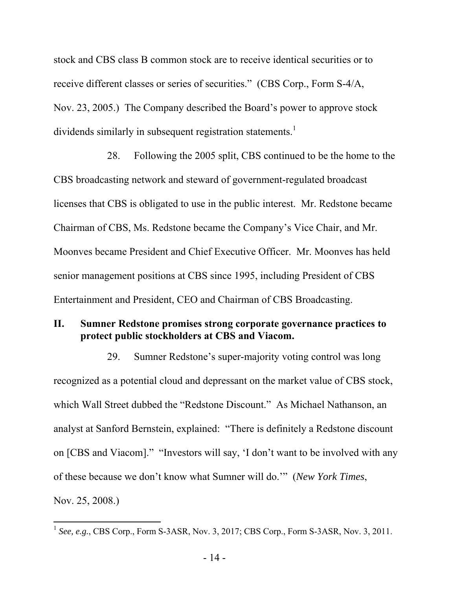stock and CBS class B common stock are to receive identical securities or to receive different classes or series of securities." (CBS Corp., Form S-4/A, Nov. 23, 2005.) The Company described the Board's power to approve stock dividends similarly in subsequent registration statements.<sup>1</sup>

28. Following the 2005 split, CBS continued to be the home to the CBS broadcasting network and steward of government-regulated broadcast licenses that CBS is obligated to use in the public interest. Mr. Redstone became Chairman of CBS, Ms. Redstone became the Company's Vice Chair, and Mr. Moonves became President and Chief Executive Officer. Mr. Moonves has held senior management positions at CBS since 1995, including President of CBS Entertainment and President, CEO and Chairman of CBS Broadcasting.

## **II. Sumner Redstone promises strong corporate governance practices to protect public stockholders at CBS and Viacom.**

29. Sumner Redstone's super-majority voting control was long recognized as a potential cloud and depressant on the market value of CBS stock, which Wall Street dubbed the "Redstone Discount." As Michael Nathanson, an analyst at Sanford Bernstein, explained: "There is definitely a Redstone discount on [CBS and Viacom]." "Investors will say, 'I don't want to be involved with any of these because we don't know what Sumner will do.'" (*New York Times*, Nov. 25, 2008.)

 $\overline{a}$ 

<sup>1</sup> *See, e.g.*, CBS Corp., Form S-3ASR, Nov. 3, 2017; CBS Corp., Form S-3ASR, Nov. 3, 2011.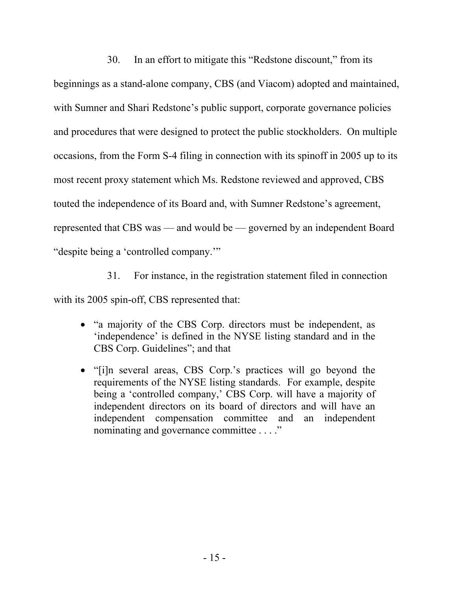30. In an effort to mitigate this "Redstone discount," from its beginnings as a stand-alone company, CBS (and Viacom) adopted and maintained, with Sumner and Shari Redstone's public support, corporate governance policies and procedures that were designed to protect the public stockholders. On multiple occasions, from the Form S-4 filing in connection with its spinoff in 2005 up to its most recent proxy statement which Ms. Redstone reviewed and approved, CBS touted the independence of its Board and, with Sumner Redstone's agreement, represented that CBS was — and would be — governed by an independent Board "despite being a 'controlled company.'"

31. For instance, in the registration statement filed in connection with its 2005 spin-off, CBS represented that:

- "a majority of the CBS Corp. directors must be independent, as 'independence' is defined in the NYSE listing standard and in the CBS Corp. Guidelines"; and that
- "[i]n several areas, CBS Corp.'s practices will go beyond the requirements of the NYSE listing standards. For example, despite being a 'controlled company,' CBS Corp. will have a majority of independent directors on its board of directors and will have an independent compensation committee and an independent nominating and governance committee . . . ."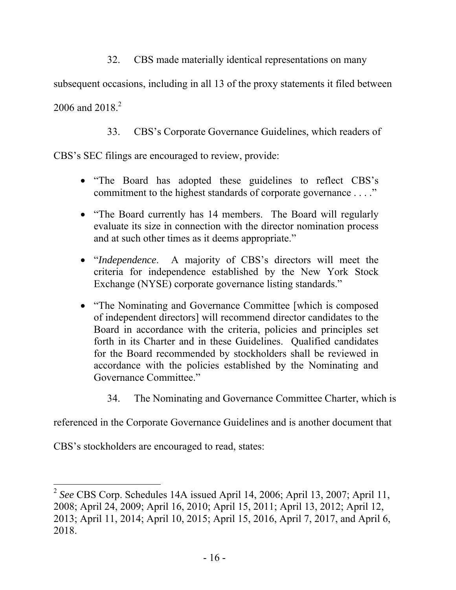32. CBS made materially identical representations on many

subsequent occasions, including in all 13 of the proxy statements it filed between 2006 and  $2018.<sup>2</sup>$ 

33. CBS's Corporate Governance Guidelines, which readers of

CBS's SEC filings are encouraged to review, provide:

- "The Board has adopted these guidelines to reflect CBS's commitment to the highest standards of corporate governance . . . ."
- "The Board currently has 14 members. The Board will regularly evaluate its size in connection with the director nomination process and at such other times as it deems appropriate."
- "*Independence*. A majority of CBS's directors will meet the criteria for independence established by the New York Stock Exchange (NYSE) corporate governance listing standards."
- "The Nominating and Governance Committee [which is composed of independent directors] will recommend director candidates to the Board in accordance with the criteria, policies and principles set forth in its Charter and in these Guidelines. Qualified candidates for the Board recommended by stockholders shall be reviewed in accordance with the policies established by the Nominating and Governance Committee."
	- 34. The Nominating and Governance Committee Charter, which is

referenced in the Corporate Governance Guidelines and is another document that

CBS's stockholders are encouraged to read, states:

 $\overline{a}$ <sup>2</sup> *See* CBS Corp. Schedules 14A issued April 14, 2006; April 13, 2007; April 11, 2008; April 24, 2009; April 16, 2010; April 15, 2011; April 13, 2012; April 12, 2013; April 11, 2014; April 10, 2015; April 15, 2016, April 7, 2017, and April 6, 2018.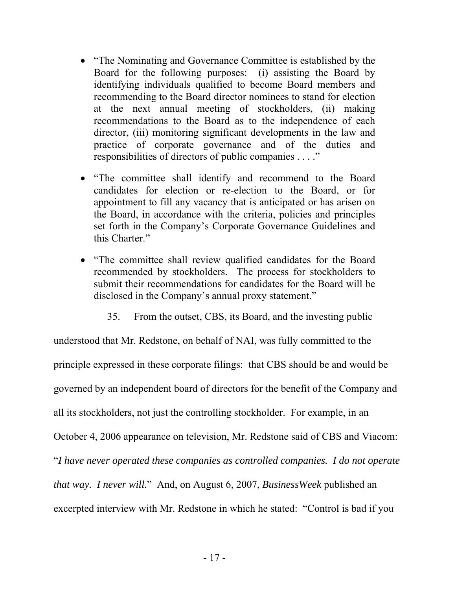- "The Nominating and Governance Committee is established by the Board for the following purposes: (i) assisting the Board by identifying individuals qualified to become Board members and recommending to the Board director nominees to stand for election at the next annual meeting of stockholders, (ii) making recommendations to the Board as to the independence of each director, (iii) monitoring significant developments in the law and practice of corporate governance and of the duties and responsibilities of directors of public companies . . . ."
- "The committee shall identify and recommend to the Board candidates for election or re-election to the Board, or for appointment to fill any vacancy that is anticipated or has arisen on the Board, in accordance with the criteria, policies and principles set forth in the Company's Corporate Governance Guidelines and this Charter."
- "The committee shall review qualified candidates for the Board recommended by stockholders. The process for stockholders to submit their recommendations for candidates for the Board will be disclosed in the Company's annual proxy statement."
	- 35. From the outset, CBS, its Board, and the investing public

understood that Mr. Redstone, on behalf of NAI, was fully committed to the principle expressed in these corporate filings: that CBS should be and would be governed by an independent board of directors for the benefit of the Company and all its stockholders, not just the controlling stockholder. For example, in an October 4, 2006 appearance on television, Mr. Redstone said of CBS and Viacom: "*I have never operated these companies as controlled companies. I do not operate that way. I never will.*" And, on August 6, 2007, *BusinessWeek* published an excerpted interview with Mr. Redstone in which he stated: "Control is bad if you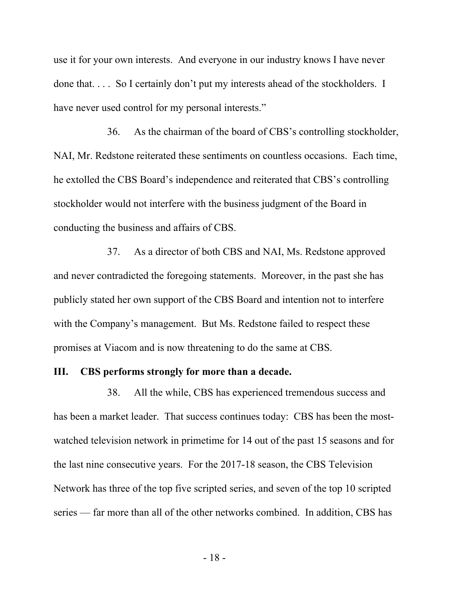use it for your own interests. And everyone in our industry knows I have never done that. . . . So I certainly don't put my interests ahead of the stockholders. I have never used control for my personal interests."

36. As the chairman of the board of CBS's controlling stockholder, NAI, Mr. Redstone reiterated these sentiments on countless occasions. Each time, he extolled the CBS Board's independence and reiterated that CBS's controlling stockholder would not interfere with the business judgment of the Board in conducting the business and affairs of CBS.

37. As a director of both CBS and NAI, Ms. Redstone approved and never contradicted the foregoing statements. Moreover, in the past she has publicly stated her own support of the CBS Board and intention not to interfere with the Company's management. But Ms. Redstone failed to respect these promises at Viacom and is now threatening to do the same at CBS.

#### **III. CBS performs strongly for more than a decade.**

38. All the while, CBS has experienced tremendous success and has been a market leader. That success continues today: CBS has been the mostwatched television network in primetime for 14 out of the past 15 seasons and for the last nine consecutive years. For the 2017-18 season, the CBS Television Network has three of the top five scripted series, and seven of the top 10 scripted series — far more than all of the other networks combined. In addition, CBS has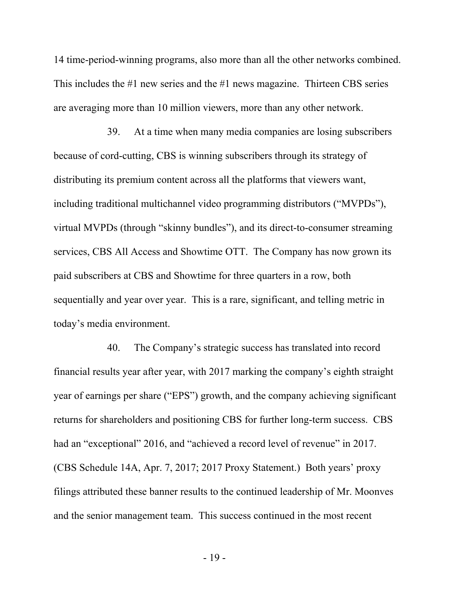14 time-period-winning programs, also more than all the other networks combined. This includes the #1 new series and the #1 news magazine. Thirteen CBS series are averaging more than 10 million viewers, more than any other network.

39. At a time when many media companies are losing subscribers because of cord-cutting, CBS is winning subscribers through its strategy of distributing its premium content across all the platforms that viewers want, including traditional multichannel video programming distributors ("MVPDs"), virtual MVPDs (through "skinny bundles"), and its direct-to-consumer streaming services, CBS All Access and Showtime OTT. The Company has now grown its paid subscribers at CBS and Showtime for three quarters in a row, both sequentially and year over year. This is a rare, significant, and telling metric in today's media environment.

40. The Company's strategic success has translated into record financial results year after year, with 2017 marking the company's eighth straight year of earnings per share ("EPS") growth, and the company achieving significant returns for shareholders and positioning CBS for further long-term success. CBS had an "exceptional" 2016, and "achieved a record level of revenue" in 2017. (CBS Schedule 14A, Apr. 7, 2017; 2017 Proxy Statement.) Both years' proxy filings attributed these banner results to the continued leadership of Mr. Moonves and the senior management team. This success continued in the most recent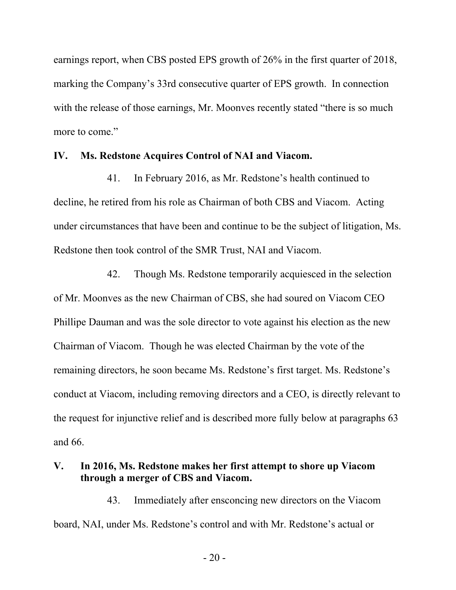earnings report, when CBS posted EPS growth of 26% in the first quarter of 2018, marking the Company's 33rd consecutive quarter of EPS growth. In connection with the release of those earnings, Mr. Moonves recently stated "there is so much more to come."

#### **IV. Ms. Redstone Acquires Control of NAI and Viacom.**

41. In February 2016, as Mr. Redstone's health continued to decline, he retired from his role as Chairman of both CBS and Viacom. Acting under circumstances that have been and continue to be the subject of litigation, Ms. Redstone then took control of the SMR Trust, NAI and Viacom.

42. Though Ms. Redstone temporarily acquiesced in the selection of Mr. Moonves as the new Chairman of CBS, she had soured on Viacom CEO Phillipe Dauman and was the sole director to vote against his election as the new Chairman of Viacom. Though he was elected Chairman by the vote of the remaining directors, he soon became Ms. Redstone's first target. Ms. Redstone's conduct at Viacom, including removing directors and a CEO, is directly relevant to the request for injunctive relief and is described more fully below at paragraphs 63 and 66.

# **V. In 2016, Ms. Redstone makes her first attempt to shore up Viacom through a merger of CBS and Viacom.**

43. Immediately after ensconcing new directors on the Viacom board, NAI, under Ms. Redstone's control and with Mr. Redstone's actual or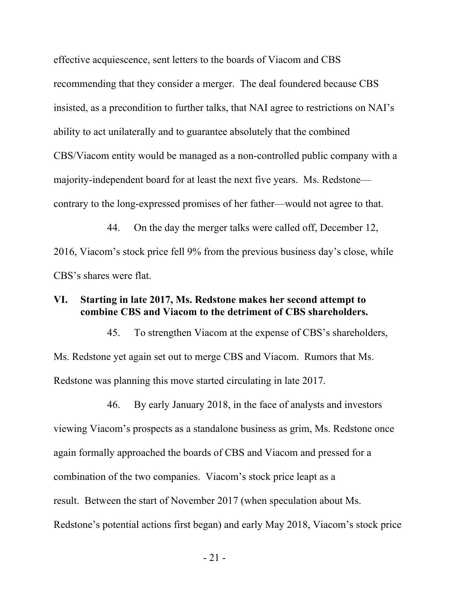effective acquiescence, sent letters to the boards of Viacom and CBS recommending that they consider a merger. The deal foundered because CBS insisted, as a precondition to further talks, that NAI agree to restrictions on NAI's ability to act unilaterally and to guarantee absolutely that the combined CBS/Viacom entity would be managed as a non-controlled public company with a majority-independent board for at least the next five years. Ms. Redstone contrary to the long-expressed promises of her father—would not agree to that.

44. On the day the merger talks were called off, December 12, 2016, Viacom's stock price fell 9% from the previous business day's close, while CBS's shares were flat.

# **VI. Starting in late 2017, Ms. Redstone makes her second attempt to combine CBS and Viacom to the detriment of CBS shareholders.**

45. To strengthen Viacom at the expense of CBS's shareholders, Ms. Redstone yet again set out to merge CBS and Viacom. Rumors that Ms. Redstone was planning this move started circulating in late 2017.

46. By early January 2018, in the face of analysts and investors viewing Viacom's prospects as a standalone business as grim, Ms. Redstone once again formally approached the boards of CBS and Viacom and pressed for a combination of the two companies. Viacom's stock price leapt as a result. Between the start of November 2017 (when speculation about Ms. Redstone's potential actions first began) and early May 2018, Viacom's stock price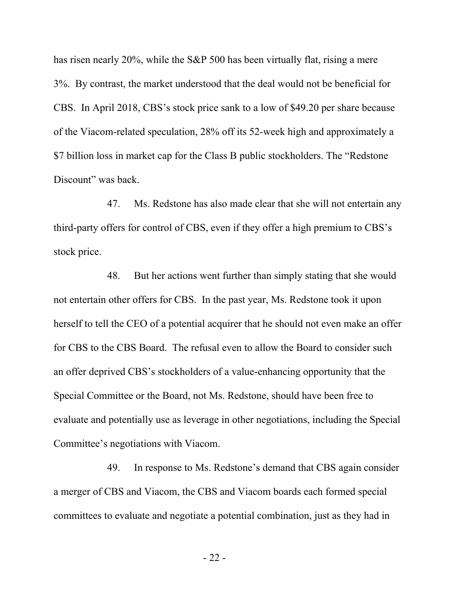has risen nearly 20%, while the S&P 500 has been virtually flat, rising a mere 3%. By contrast, the market understood that the deal would not be beneficial for CBS. In April 2018, CBS's stock price sank to a low of \$49.20 per share because of the Viacom-related speculation, 28% off its 52-week high and approximately a \$7 billion loss in market cap for the Class B public stockholders. The "Redstone Discount" was back.

47. Ms. Redstone has also made clear that she will not entertain any third-party offers for control of CBS, even if they offer a high premium to CBS's stock price.

48. But her actions went further than simply stating that she would not entertain other offers for CBS. In the past year, Ms. Redstone took it upon herself to tell the CEO of a potential acquirer that he should not even make an offer for CBS to the CBS Board. The refusal even to allow the Board to consider such an offer deprived CBS's stockholders of a value-enhancing opportunity that the Special Committee or the Board, not Ms. Redstone, should have been free to evaluate and potentially use as leverage in other negotiations, including the Special Committee's negotiations with Viacom.

49. In response to Ms. Redstone's demand that CBS again consider a merger of CBS and Viacom, the CBS and Viacom boards each formed special committees to evaluate and negotiate a potential combination, just as they had in

- 22 -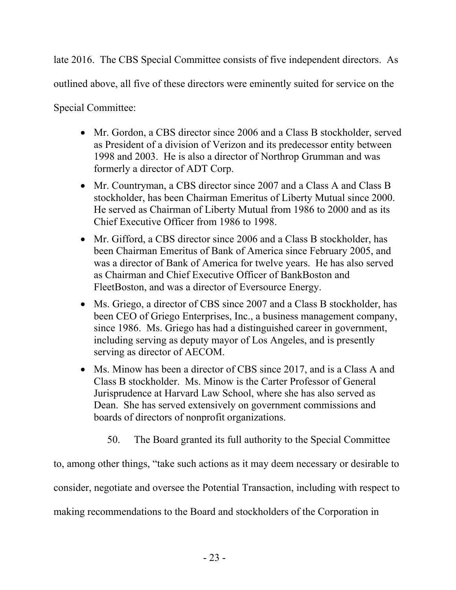late 2016. The CBS Special Committee consists of five independent directors. As

outlined above, all five of these directors were eminently suited for service on the

Special Committee:

- Mr. Gordon, a CBS director since 2006 and a Class B stockholder, served as President of a division of Verizon and its predecessor entity between 1998 and 2003. He is also a director of Northrop Grumman and was formerly a director of ADT Corp.
- Mr. Countryman, a CBS director since 2007 and a Class A and Class B stockholder, has been Chairman Emeritus of Liberty Mutual since 2000. He served as Chairman of Liberty Mutual from 1986 to 2000 and as its Chief Executive Officer from 1986 to 1998.
- Mr. Gifford, a CBS director since 2006 and a Class B stockholder, has been Chairman Emeritus of Bank of America since February 2005, and was a director of Bank of America for twelve years. He has also served as Chairman and Chief Executive Officer of BankBoston and FleetBoston, and was a director of Eversource Energy.
- Ms. Griego, a director of CBS since 2007 and a Class B stockholder, has been CEO of Griego Enterprises, Inc., a business management company, since 1986. Ms. Griego has had a distinguished career in government, including serving as deputy mayor of Los Angeles, and is presently serving as director of AECOM.
- Ms. Minow has been a director of CBS since 2017, and is a Class A and Class B stockholder. Ms. Minow is the Carter Professor of General Jurisprudence at Harvard Law School, where she has also served as Dean. She has served extensively on government commissions and boards of directors of nonprofit organizations.
	- 50. The Board granted its full authority to the Special Committee

to, among other things, "take such actions as it may deem necessary or desirable to consider, negotiate and oversee the Potential Transaction, including with respect to making recommendations to the Board and stockholders of the Corporation in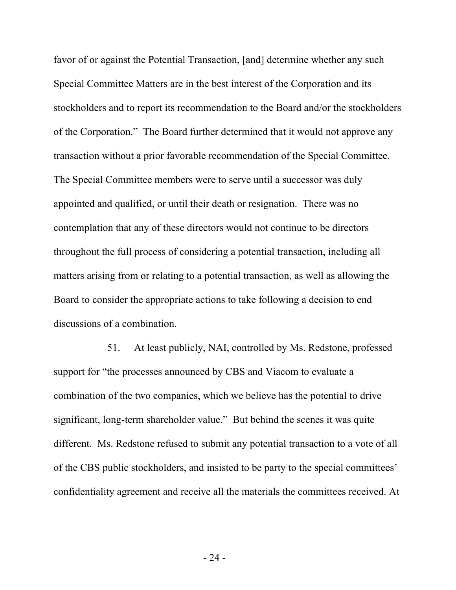favor of or against the Potential Transaction, [and] determine whether any such Special Committee Matters are in the best interest of the Corporation and its stockholders and to report its recommendation to the Board and/or the stockholders of the Corporation." The Board further determined that it would not approve any transaction without a prior favorable recommendation of the Special Committee. The Special Committee members were to serve until a successor was duly appointed and qualified, or until their death or resignation. There was no contemplation that any of these directors would not continue to be directors throughout the full process of considering a potential transaction, including all matters arising from or relating to a potential transaction, as well as allowing the Board to consider the appropriate actions to take following a decision to end discussions of a combination.

51. At least publicly, NAI, controlled by Ms. Redstone, professed support for "the processes announced by CBS and Viacom to evaluate a combination of the two companies, which we believe has the potential to drive significant, long-term shareholder value." But behind the scenes it was quite different. Ms. Redstone refused to submit any potential transaction to a vote of all of the CBS public stockholders, and insisted to be party to the special committees' confidentiality agreement and receive all the materials the committees received. At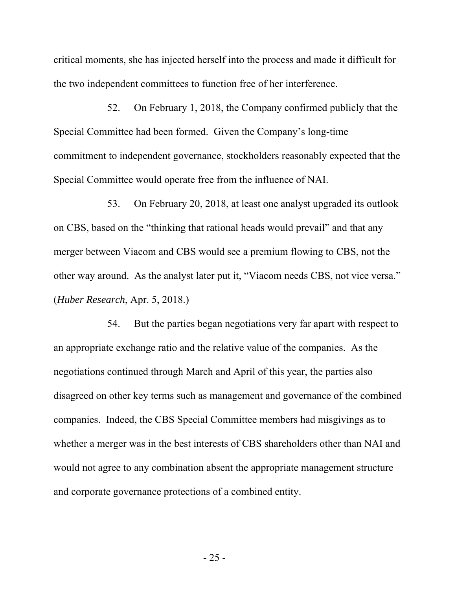critical moments, she has injected herself into the process and made it difficult for the two independent committees to function free of her interference.

52. On February 1, 2018, the Company confirmed publicly that the Special Committee had been formed. Given the Company's long-time commitment to independent governance, stockholders reasonably expected that the Special Committee would operate free from the influence of NAI.

53. On February 20, 2018, at least one analyst upgraded its outlook on CBS, based on the "thinking that rational heads would prevail" and that any merger between Viacom and CBS would see a premium flowing to CBS, not the other way around. As the analyst later put it, "Viacom needs CBS, not vice versa." (*Huber Research*, Apr. 5, 2018.)

54. But the parties began negotiations very far apart with respect to an appropriate exchange ratio and the relative value of the companies. As the negotiations continued through March and April of this year, the parties also disagreed on other key terms such as management and governance of the combined companies. Indeed, the CBS Special Committee members had misgivings as to whether a merger was in the best interests of CBS shareholders other than NAI and would not agree to any combination absent the appropriate management structure and corporate governance protections of a combined entity.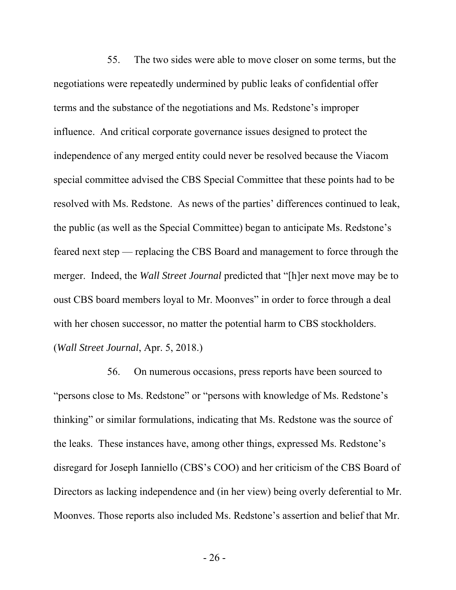55. The two sides were able to move closer on some terms, but the negotiations were repeatedly undermined by public leaks of confidential offer terms and the substance of the negotiations and Ms. Redstone's improper influence. And critical corporate governance issues designed to protect the independence of any merged entity could never be resolved because the Viacom special committee advised the CBS Special Committee that these points had to be resolved with Ms. Redstone. As news of the parties' differences continued to leak, the public (as well as the Special Committee) began to anticipate Ms. Redstone's feared next step — replacing the CBS Board and management to force through the merger. Indeed, the *Wall Street Journal* predicted that "[h]er next move may be to oust CBS board members loyal to Mr. Moonves" in order to force through a deal with her chosen successor, no matter the potential harm to CBS stockholders. (*Wall Street Journal*, Apr. 5, 2018.)

56. On numerous occasions, press reports have been sourced to "persons close to Ms. Redstone" or "persons with knowledge of Ms. Redstone's thinking" or similar formulations, indicating that Ms. Redstone was the source of the leaks. These instances have, among other things, expressed Ms. Redstone's disregard for Joseph Ianniello (CBS's COO) and her criticism of the CBS Board of Directors as lacking independence and (in her view) being overly deferential to Mr. Moonves. Those reports also included Ms. Redstone's assertion and belief that Mr.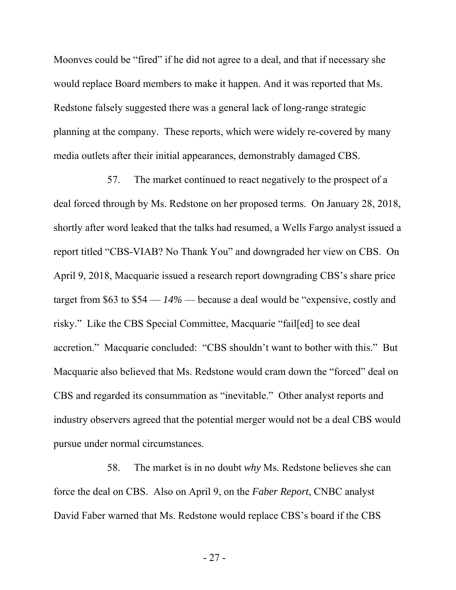Moonves could be "fired" if he did not agree to a deal, and that if necessary she would replace Board members to make it happen. And it was reported that Ms. Redstone falsely suggested there was a general lack of long-range strategic planning at the company. These reports, which were widely re-covered by many media outlets after their initial appearances, demonstrably damaged CBS.

57. The market continued to react negatively to the prospect of a deal forced through by Ms. Redstone on her proposed terms. On January 28, 2018, shortly after word leaked that the talks had resumed, a Wells Fargo analyst issued a report titled "CBS-VIAB? No Thank You" and downgraded her view on CBS. On April 9, 2018, Macquarie issued a research report downgrading CBS's share price target from \$63 to \$54 — *14%* — because a deal would be "expensive, costly and risky." Like the CBS Special Committee, Macquarie "fail[ed] to see deal accretion." Macquarie concluded: "CBS shouldn't want to bother with this." But Macquarie also believed that Ms. Redstone would cram down the "forced" deal on CBS and regarded its consummation as "inevitable." Other analyst reports and industry observers agreed that the potential merger would not be a deal CBS would pursue under normal circumstances.

58. The market is in no doubt *why* Ms. Redstone believes she can force the deal on CBS. Also on April 9, on the *Faber Report*, CNBC analyst David Faber warned that Ms. Redstone would replace CBS's board if the CBS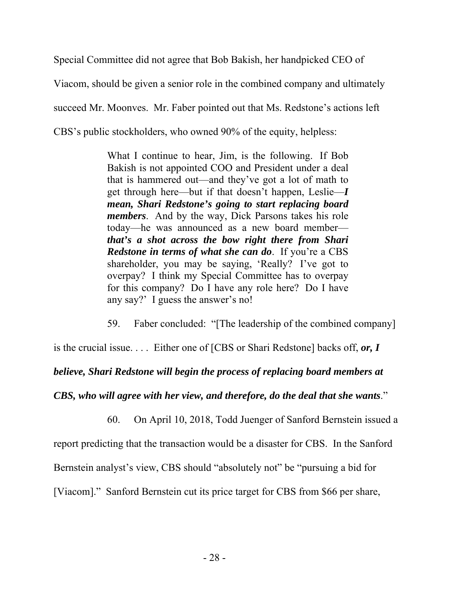Special Committee did not agree that Bob Bakish, her handpicked CEO of Viacom, should be given a senior role in the combined company and ultimately succeed Mr. Moonves. Mr. Faber pointed out that Ms. Redstone's actions left CBS's public stockholders, who owned 90% of the equity, helpless:

> What I continue to hear, Jim, is the following. If Bob Bakish is not appointed COO and President under a deal that is hammered out—and they've got a lot of math to get through here—but if that doesn't happen, Leslie—*I mean, Shari Redstone's going to start replacing board members*. And by the way, Dick Parsons takes his role today—he was announced as a new board member *that's a shot across the bow right there from Shari Redstone in terms of what she can do*. If you're a CBS shareholder, you may be saying, 'Really? I've got to overpay? I think my Special Committee has to overpay for this company? Do I have any role here? Do I have any say?' I guess the answer's no!

59. Faber concluded: "[The leadership of the combined company]

is the crucial issue. . . . Either one of [CBS or Shari Redstone] backs off, *or, I* 

# *believe, Shari Redstone will begin the process of replacing board members at*

# *CBS, who will agree with her view, and therefore, do the deal that she wants*."

60. On April 10, 2018, Todd Juenger of Sanford Bernstein issued a

report predicting that the transaction would be a disaster for CBS. In the Sanford

Bernstein analyst's view, CBS should "absolutely not" be "pursuing a bid for

[Viacom]." Sanford Bernstein cut its price target for CBS from \$66 per share,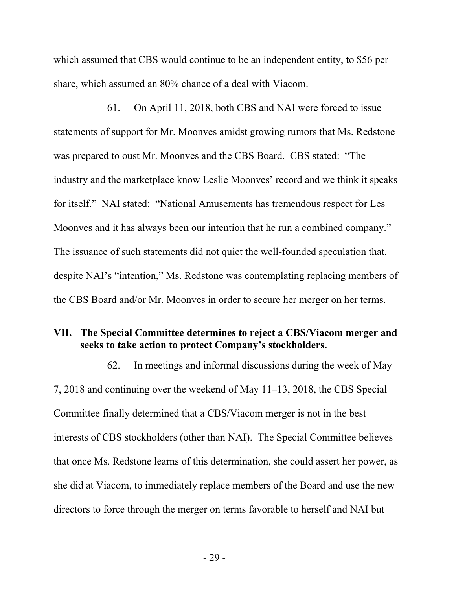which assumed that CBS would continue to be an independent entity, to \$56 per share, which assumed an 80% chance of a deal with Viacom.

61. On April 11, 2018, both CBS and NAI were forced to issue statements of support for Mr. Moonves amidst growing rumors that Ms. Redstone was prepared to oust Mr. Moonves and the CBS Board. CBS stated: "The industry and the marketplace know Leslie Moonves' record and we think it speaks for itself." NAI stated: "National Amusements has tremendous respect for Les Moonves and it has always been our intention that he run a combined company." The issuance of such statements did not quiet the well-founded speculation that, despite NAI's "intention," Ms. Redstone was contemplating replacing members of the CBS Board and/or Mr. Moonves in order to secure her merger on her terms.

# **VII. The Special Committee determines to reject a CBS/Viacom merger and seeks to take action to protect Company's stockholders.**

62. In meetings and informal discussions during the week of May 7, 2018 and continuing over the weekend of May 11–13, 2018, the CBS Special Committee finally determined that a CBS/Viacom merger is not in the best interests of CBS stockholders (other than NAI). The Special Committee believes that once Ms. Redstone learns of this determination, she could assert her power, as she did at Viacom, to immediately replace members of the Board and use the new directors to force through the merger on terms favorable to herself and NAI but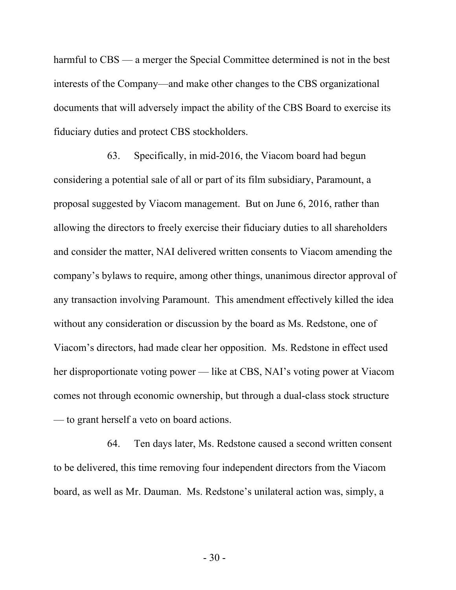harmful to CBS — a merger the Special Committee determined is not in the best interests of the Company—and make other changes to the CBS organizational documents that will adversely impact the ability of the CBS Board to exercise its fiduciary duties and protect CBS stockholders.

63. Specifically, in mid-2016, the Viacom board had begun considering a potential sale of all or part of its film subsidiary, Paramount, a proposal suggested by Viacom management. But on June 6, 2016, rather than allowing the directors to freely exercise their fiduciary duties to all shareholders and consider the matter, NAI delivered written consents to Viacom amending the company's bylaws to require, among other things, unanimous director approval of any transaction involving Paramount. This amendment effectively killed the idea without any consideration or discussion by the board as Ms. Redstone, one of Viacom's directors, had made clear her opposition. Ms. Redstone in effect used her disproportionate voting power — like at CBS, NAI's voting power at Viacom comes not through economic ownership, but through a dual-class stock structure — to grant herself a veto on board actions.

64. Ten days later, Ms. Redstone caused a second written consent to be delivered, this time removing four independent directors from the Viacom board, as well as Mr. Dauman. Ms. Redstone's unilateral action was, simply, a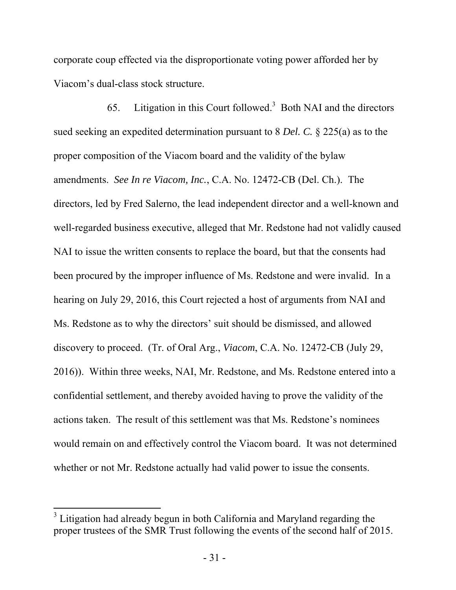corporate coup effected via the disproportionate voting power afforded her by Viacom's dual-class stock structure.

65. Litigation in this Court followed.<sup>3</sup> Both NAI and the directors sued seeking an expedited determination pursuant to 8 *Del. C.* § 225(a) as to the proper composition of the Viacom board and the validity of the bylaw amendments. *See In re Viacom, Inc.*, C.A. No. 12472-CB (Del. Ch.). The directors, led by Fred Salerno, the lead independent director and a well-known and well-regarded business executive, alleged that Mr. Redstone had not validly caused NAI to issue the written consents to replace the board, but that the consents had been procured by the improper influence of Ms. Redstone and were invalid. In a hearing on July 29, 2016, this Court rejected a host of arguments from NAI and Ms. Redstone as to why the directors' suit should be dismissed, and allowed discovery to proceed. (Tr. of Oral Arg., *Viacom*, C.A. No. 12472-CB (July 29, 2016)). Within three weeks, NAI, Mr. Redstone, and Ms. Redstone entered into a confidential settlement, and thereby avoided having to prove the validity of the actions taken. The result of this settlement was that Ms. Redstone's nominees would remain on and effectively control the Viacom board. It was not determined whether or not Mr. Redstone actually had valid power to issue the consents.

 $\overline{a}$ 

 $3$  Litigation had already begun in both California and Maryland regarding the proper trustees of the SMR Trust following the events of the second half of 2015.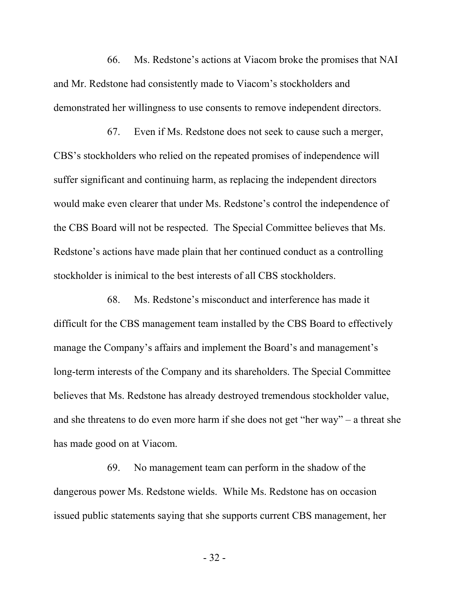66. Ms. Redstone's actions at Viacom broke the promises that NAI and Mr. Redstone had consistently made to Viacom's stockholders and demonstrated her willingness to use consents to remove independent directors.

67. Even if Ms. Redstone does not seek to cause such a merger, CBS's stockholders who relied on the repeated promises of independence will suffer significant and continuing harm, as replacing the independent directors would make even clearer that under Ms. Redstone's control the independence of the CBS Board will not be respected. The Special Committee believes that Ms. Redstone's actions have made plain that her continued conduct as a controlling stockholder is inimical to the best interests of all CBS stockholders.

68. Ms. Redstone's misconduct and interference has made it difficult for the CBS management team installed by the CBS Board to effectively manage the Company's affairs and implement the Board's and management's long-term interests of the Company and its shareholders. The Special Committee believes that Ms. Redstone has already destroyed tremendous stockholder value, and she threatens to do even more harm if she does not get "her way" – a threat she has made good on at Viacom.

69. No management team can perform in the shadow of the dangerous power Ms. Redstone wields. While Ms. Redstone has on occasion issued public statements saying that she supports current CBS management, her

- 32 -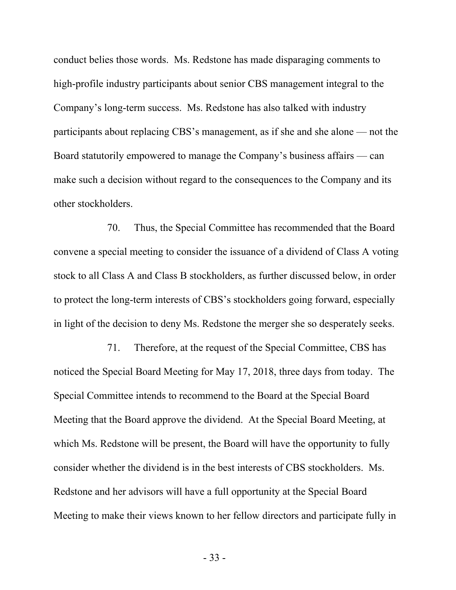conduct belies those words. Ms. Redstone has made disparaging comments to high-profile industry participants about senior CBS management integral to the Company's long-term success. Ms. Redstone has also talked with industry participants about replacing CBS's management, as if she and she alone — not the Board statutorily empowered to manage the Company's business affairs — can make such a decision without regard to the consequences to the Company and its other stockholders.

70. Thus, the Special Committee has recommended that the Board convene a special meeting to consider the issuance of a dividend of Class A voting stock to all Class A and Class B stockholders, as further discussed below, in order to protect the long-term interests of CBS's stockholders going forward, especially in light of the decision to deny Ms. Redstone the merger she so desperately seeks.

71. Therefore, at the request of the Special Committee, CBS has noticed the Special Board Meeting for May 17, 2018, three days from today. The Special Committee intends to recommend to the Board at the Special Board Meeting that the Board approve the dividend. At the Special Board Meeting, at which Ms. Redstone will be present, the Board will have the opportunity to fully consider whether the dividend is in the best interests of CBS stockholders. Ms. Redstone and her advisors will have a full opportunity at the Special Board Meeting to make their views known to her fellow directors and participate fully in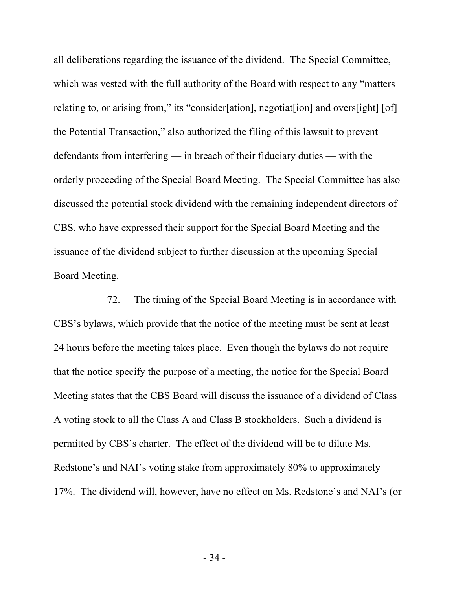all deliberations regarding the issuance of the dividend. The Special Committee, which was vested with the full authority of the Board with respect to any "matters" relating to, or arising from," its "consider[ation], negotiat[ion] and overs[ight] [of] the Potential Transaction," also authorized the filing of this lawsuit to prevent defendants from interfering — in breach of their fiduciary duties — with the orderly proceeding of the Special Board Meeting. The Special Committee has also discussed the potential stock dividend with the remaining independent directors of CBS, who have expressed their support for the Special Board Meeting and the issuance of the dividend subject to further discussion at the upcoming Special Board Meeting.

72. The timing of the Special Board Meeting is in accordance with CBS's bylaws, which provide that the notice of the meeting must be sent at least 24 hours before the meeting takes place. Even though the bylaws do not require that the notice specify the purpose of a meeting, the notice for the Special Board Meeting states that the CBS Board will discuss the issuance of a dividend of Class A voting stock to all the Class A and Class B stockholders. Such a dividend is permitted by CBS's charter. The effect of the dividend will be to dilute Ms. Redstone's and NAI's voting stake from approximately 80% to approximately 17%. The dividend will, however, have no effect on Ms. Redstone's and NAI's (or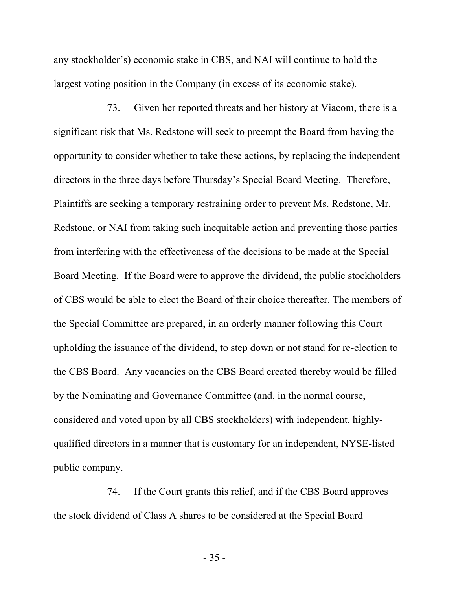any stockholder's) economic stake in CBS, and NAI will continue to hold the largest voting position in the Company (in excess of its economic stake).

73. Given her reported threats and her history at Viacom, there is a significant risk that Ms. Redstone will seek to preempt the Board from having the opportunity to consider whether to take these actions, by replacing the independent directors in the three days before Thursday's Special Board Meeting. Therefore, Plaintiffs are seeking a temporary restraining order to prevent Ms. Redstone, Mr. Redstone, or NAI from taking such inequitable action and preventing those parties from interfering with the effectiveness of the decisions to be made at the Special Board Meeting. If the Board were to approve the dividend, the public stockholders of CBS would be able to elect the Board of their choice thereafter. The members of the Special Committee are prepared, in an orderly manner following this Court upholding the issuance of the dividend, to step down or not stand for re-election to the CBS Board. Any vacancies on the CBS Board created thereby would be filled by the Nominating and Governance Committee (and, in the normal course, considered and voted upon by all CBS stockholders) with independent, highlyqualified directors in a manner that is customary for an independent, NYSE-listed public company.

74. If the Court grants this relief, and if the CBS Board approves the stock dividend of Class A shares to be considered at the Special Board

- 35 -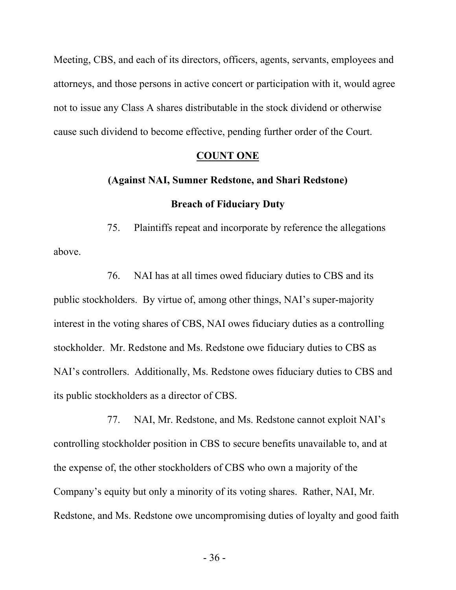Meeting, CBS, and each of its directors, officers, agents, servants, employees and attorneys, and those persons in active concert or participation with it, would agree not to issue any Class A shares distributable in the stock dividend or otherwise cause such dividend to become effective, pending further order of the Court.

#### **COUNT ONE**

# **(Against NAI, Sumner Redstone, and Shari Redstone) Breach of Fiduciary Duty**

75. Plaintiffs repeat and incorporate by reference the allegations above.

76. NAI has at all times owed fiduciary duties to CBS and its public stockholders. By virtue of, among other things, NAI's super-majority interest in the voting shares of CBS, NAI owes fiduciary duties as a controlling stockholder. Mr. Redstone and Ms. Redstone owe fiduciary duties to CBS as NAI's controllers. Additionally, Ms. Redstone owes fiduciary duties to CBS and its public stockholders as a director of CBS.

77. NAI, Mr. Redstone, and Ms. Redstone cannot exploit NAI's controlling stockholder position in CBS to secure benefits unavailable to, and at the expense of, the other stockholders of CBS who own a majority of the Company's equity but only a minority of its voting shares. Rather, NAI, Mr. Redstone, and Ms. Redstone owe uncompromising duties of loyalty and good faith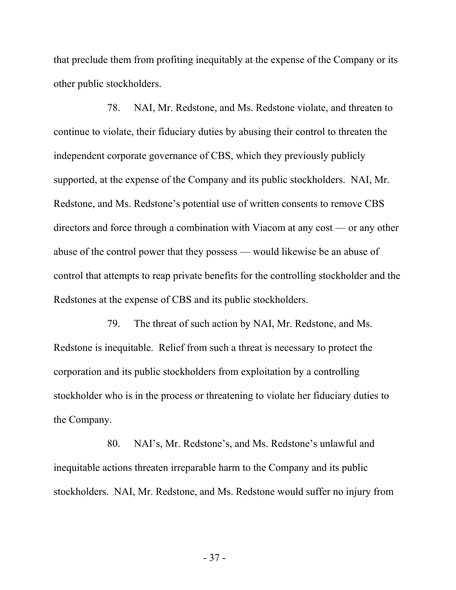that preclude them from profiting inequitably at the expense of the Company or its other public stockholders.

78. NAI, Mr. Redstone, and Ms. Redstone violate, and threaten to continue to violate, their fiduciary duties by abusing their control to threaten the independent corporate governance of CBS, which they previously publicly supported, at the expense of the Company and its public stockholders. NAI, Mr. Redstone, and Ms. Redstone's potential use of written consents to remove CBS directors and force through a combination with Viacom at any cost — or any other abuse of the control power that they possess — would likewise be an abuse of control that attempts to reap private benefits for the controlling stockholder and the Redstones at the expense of CBS and its public stockholders.

79. The threat of such action by NAI, Mr. Redstone, and Ms. Redstone is inequitable. Relief from such a threat is necessary to protect the corporation and its public stockholders from exploitation by a controlling stockholder who is in the process or threatening to violate her fiduciary duties to the Company.

80. NAI's, Mr. Redstone's, and Ms. Redstone's unlawful and inequitable actions threaten irreparable harm to the Company and its public stockholders. NAI, Mr. Redstone, and Ms. Redstone would suffer no injury from

- 37 -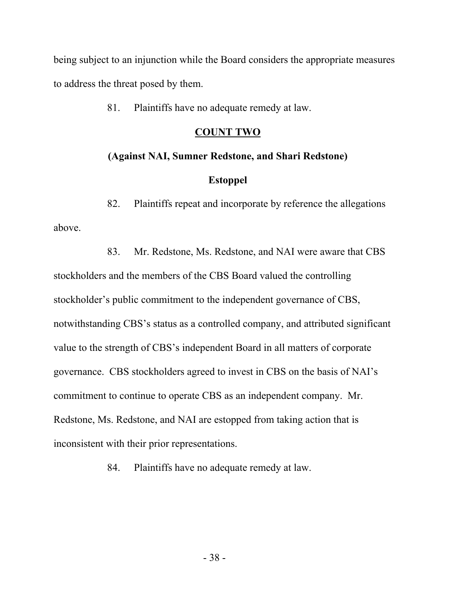being subject to an injunction while the Board considers the appropriate measures to address the threat posed by them.

81. Plaintiffs have no adequate remedy at law.

# **COUNT TWO**

### **(Against NAI, Sumner Redstone, and Shari Redstone)**

## **Estoppel**

82. Plaintiffs repeat and incorporate by reference the allegations above.

83. Mr. Redstone, Ms. Redstone, and NAI were aware that CBS stockholders and the members of the CBS Board valued the controlling stockholder's public commitment to the independent governance of CBS, notwithstanding CBS's status as a controlled company, and attributed significant value to the strength of CBS's independent Board in all matters of corporate governance. CBS stockholders agreed to invest in CBS on the basis of NAI's commitment to continue to operate CBS as an independent company. Mr. Redstone, Ms. Redstone, and NAI are estopped from taking action that is inconsistent with their prior representations.

84. Plaintiffs have no adequate remedy at law.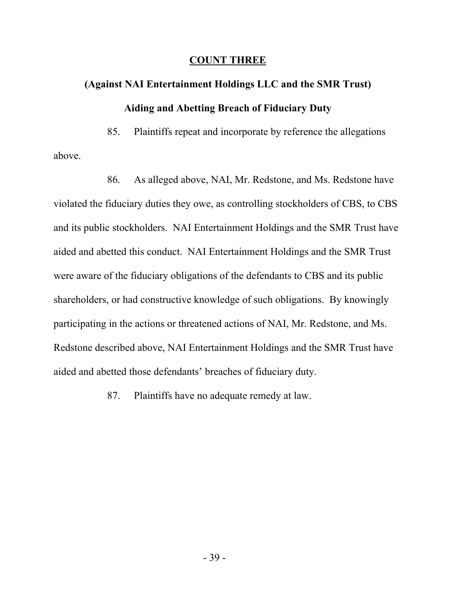#### **COUNT THREE**

# **(Against NAI Entertainment Holdings LLC and the SMR Trust) Aiding and Abetting Breach of Fiduciary Duty**

85. Plaintiffs repeat and incorporate by reference the allegations above.

86. As alleged above, NAI, Mr. Redstone, and Ms. Redstone have violated the fiduciary duties they owe, as controlling stockholders of CBS, to CBS and its public stockholders. NAI Entertainment Holdings and the SMR Trust have aided and abetted this conduct. NAI Entertainment Holdings and the SMR Trust were aware of the fiduciary obligations of the defendants to CBS and its public shareholders, or had constructive knowledge of such obligations. By knowingly participating in the actions or threatened actions of NAI, Mr. Redstone, and Ms. Redstone described above, NAI Entertainment Holdings and the SMR Trust have aided and abetted those defendants' breaches of fiduciary duty.

87. Plaintiffs have no adequate remedy at law.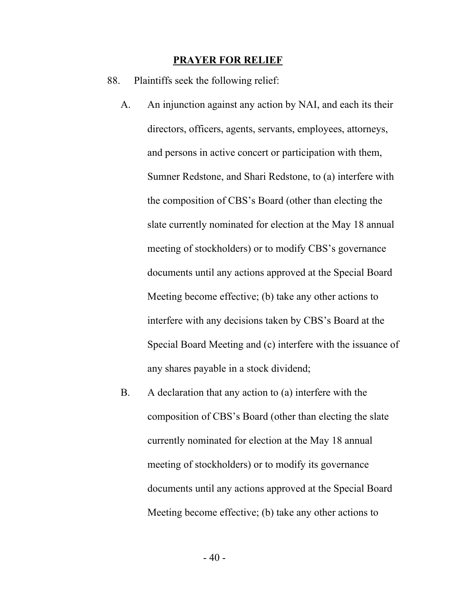#### **PRAYER FOR RELIEF**

- 88. Plaintiffs seek the following relief:
	- A. An injunction against any action by NAI, and each its their directors, officers, agents, servants, employees, attorneys, and persons in active concert or participation with them, Sumner Redstone, and Shari Redstone, to (a) interfere with the composition of CBS's Board (other than electing the slate currently nominated for election at the May 18 annual meeting of stockholders) or to modify CBS's governance documents until any actions approved at the Special Board Meeting become effective; (b) take any other actions to interfere with any decisions taken by CBS's Board at the Special Board Meeting and (c) interfere with the issuance of any shares payable in a stock dividend;
	- B. A declaration that any action to (a) interfere with the composition of CBS's Board (other than electing the slate currently nominated for election at the May 18 annual meeting of stockholders) or to modify its governance documents until any actions approved at the Special Board Meeting become effective; (b) take any other actions to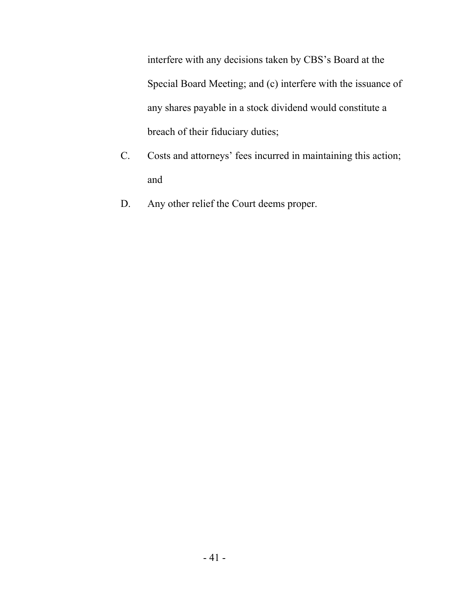interfere with any decisions taken by CBS's Board at the Special Board Meeting; and (c) interfere with the issuance of any shares payable in a stock dividend would constitute a breach of their fiduciary duties;

- C. Costs and attorneys' fees incurred in maintaining this action; and
- D. Any other relief the Court deems proper.